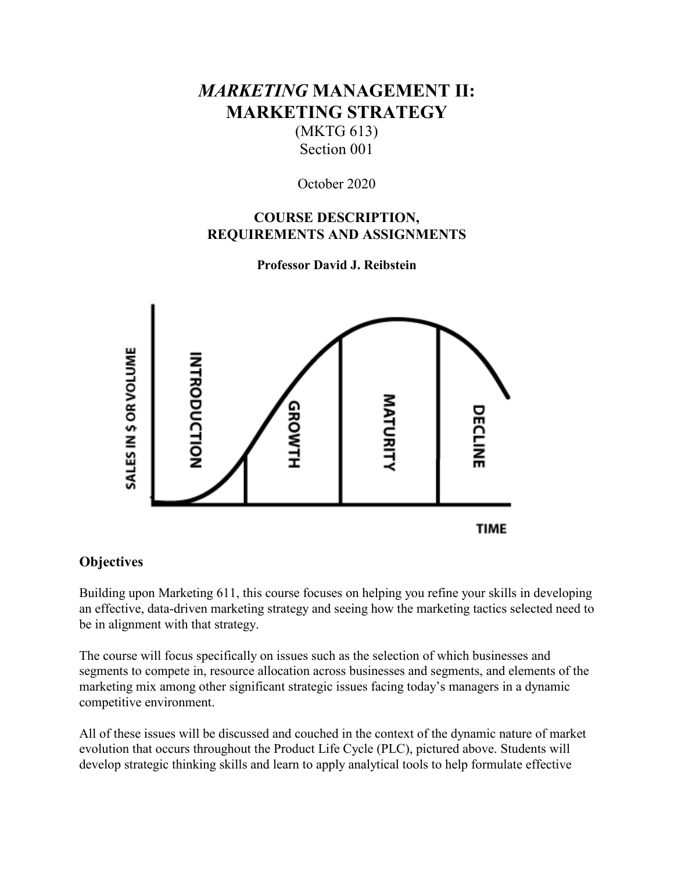# *MARKETING* **MANAGEMENT II: MARKETING STRATEGY**

(MKTG 613) Section 001

October 2020

# **COURSE DESCRIPTION, REQUIREMENTS AND ASSIGNMENTS**

**Professor David J. Reibstein**



# **Objectives**

Building upon Marketing 611, this course focuses on helping you refine your skills in developing an effective, data-driven marketing strategy and seeing how the marketing tactics selected need to be in alignment with that strategy.

The course will focus specifically on issues such as the selection of which businesses and segments to compete in, resource allocation across businesses and segments, and elements of the marketing mix among other significant strategic issues facing today's managers in a dynamic competitive environment.

All of these issues will be discussed and couched in the context of the dynamic nature of market evolution that occurs throughout the Product Life Cycle (PLC), pictured above. Students will develop strategic thinking skills and learn to apply analytical tools to help formulate effective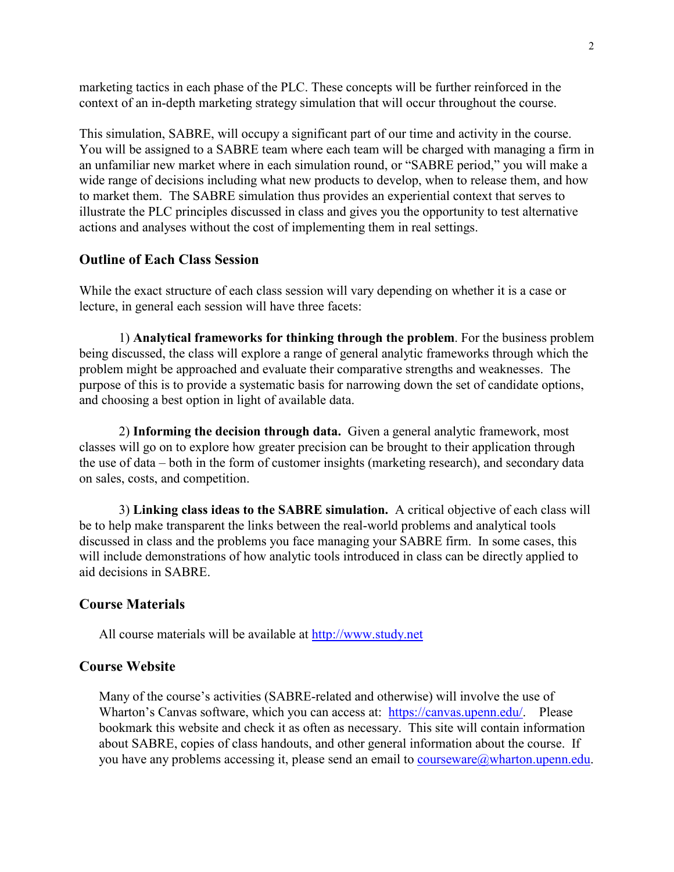marketing tactics in each phase of the PLC. These concepts will be further reinforced in the context of an in-depth marketing strategy simulation that will occur throughout the course.

This simulation, SABRE, will occupy a significant part of our time and activity in the course. You will be assigned to a SABRE team where each team will be charged with managing a firm in an unfamiliar new market where in each simulation round, or "SABRE period," you will make a wide range of decisions including what new products to develop, when to release them, and how to market them. The SABRE simulation thus provides an experiential context that serves to illustrate the PLC principles discussed in class and gives you the opportunity to test alternative actions and analyses without the cost of implementing them in real settings.

#### **Outline of Each Class Session**

While the exact structure of each class session will vary depending on whether it is a case or lecture, in general each session will have three facets:

1) **Analytical frameworks for thinking through the problem**. For the business problem being discussed, the class will explore a range of general analytic frameworks through which the problem might be approached and evaluate their comparative strengths and weaknesses. The purpose of this is to provide a systematic basis for narrowing down the set of candidate options, and choosing a best option in light of available data.

2) **Informing the decision through data.** Given a general analytic framework, most classes will go on to explore how greater precision can be brought to their application through the use of data – both in the form of customer insights (marketing research), and secondary data on sales, costs, and competition.

3) **Linking class ideas to the SABRE simulation.** A critical objective of each class will be to help make transparent the links between the real-world problems and analytical tools discussed in class and the problems you face managing your SABRE firm. In some cases, this will include demonstrations of how analytic tools introduced in class can be directly applied to aid decisions in SABRE.

#### **Course Materials**

All course materials will be available at [http://www.study.net](http://www.study.net/)

## **Course Website**

Many of the course's activities (SABRE-related and otherwise) will involve the use of Wharton's Canvas software, which you can access at: [https://canvas.upenn.edu/.](https://canvas.upenn.edu/) Please bookmark this website and check it as often as necessary. This site will contain information about SABRE, copies of class handouts, and other general information about the course. If you have any problems accessing it, please send an email to [courseware@wharton.upenn.edu.](mailto:courseware@wharton.upenn.edu)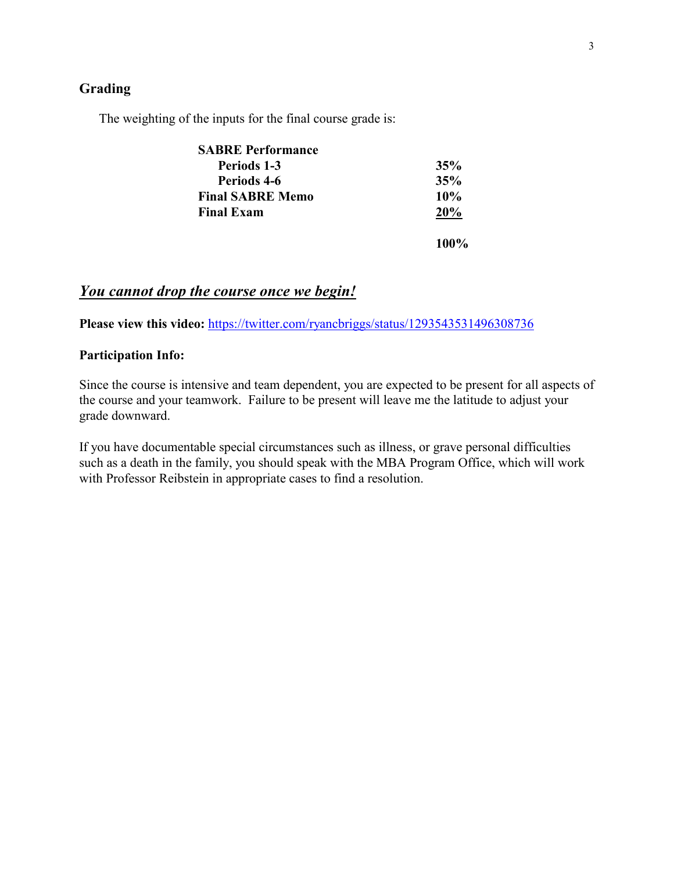## **Grading**

The weighting of the inputs for the final course grade is:

| <b>SABRE Performance</b> |            |
|--------------------------|------------|
| Periods 1-3              | 35%        |
| Periods 4-6              | 35%        |
| <b>Final SABRE Memo</b>  | $10\%$     |
| <b>Final Exam</b>        | <b>20%</b> |
|                          | 100%       |

# *You cannot drop the course once we begin!*

**Please view this video:** <https://twitter.com/ryancbriggs/status/1293543531496308736>

### **Participation Info:**

Since the course is intensive and team dependent, you are expected to be present for all aspects of the course and your teamwork. Failure to be present will leave me the latitude to adjust your grade downward.

If you have documentable special circumstances such as illness, or grave personal difficulties such as a death in the family, you should speak with the MBA Program Office, which will work with Professor Reibstein in appropriate cases to find a resolution.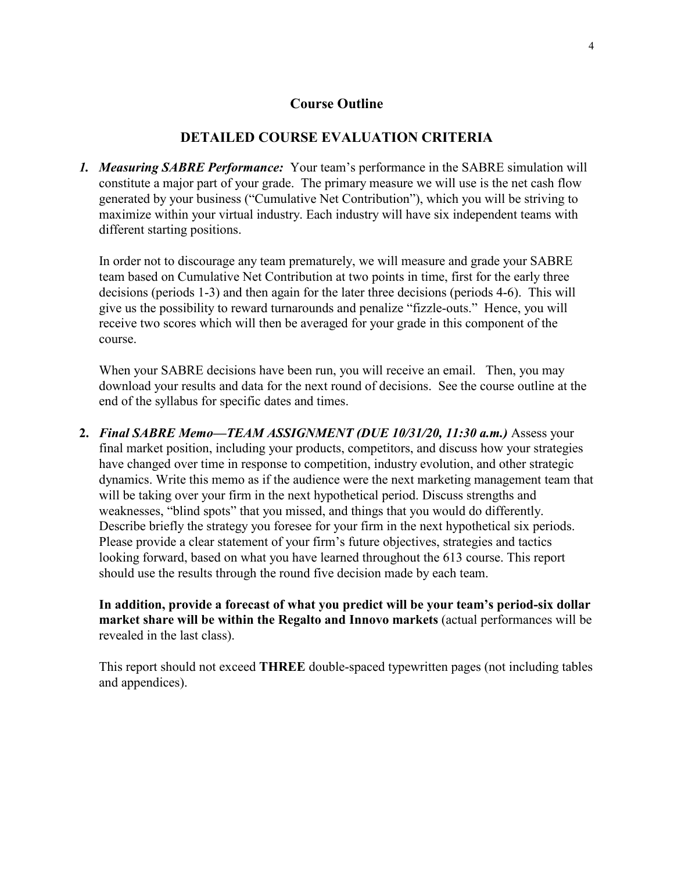## **Course Outline**

## **DETAILED COURSE EVALUATION CRITERIA**

*1. Measuring SABRE Performance:* Your team's performance in the SABRE simulation will constitute a major part of your grade. The primary measure we will use is the net cash flow generated by your business ("Cumulative Net Contribution"), which you will be striving to maximize within your virtual industry. Each industry will have six independent teams with different starting positions.

In order not to discourage any team prematurely, we will measure and grade your SABRE team based on Cumulative Net Contribution at two points in time, first for the early three decisions (periods 1-3) and then again for the later three decisions (periods 4-6). This will give us the possibility to reward turnarounds and penalize "fizzle-outs." Hence, you will receive two scores which will then be averaged for your grade in this component of the course.

When your SABRE decisions have been run, you will receive an email. Then, you may download your results and data for the next round of decisions. See the course outline at the end of the syllabus for specific dates and times.

**2.** *Final SABRE Memo—TEAM ASSIGNMENT (DUE 10/31/20, 11:30 a.m.)* Assess your final market position, including your products, competitors, and discuss how your strategies have changed over time in response to competition, industry evolution, and other strategic dynamics. Write this memo as if the audience were the next marketing management team that will be taking over your firm in the next hypothetical period. Discuss strengths and weaknesses, "blind spots" that you missed, and things that you would do differently. Describe briefly the strategy you foresee for your firm in the next hypothetical six periods. Please provide a clear statement of your firm's future objectives, strategies and tactics looking forward, based on what you have learned throughout the 613 course. This report should use the results through the round five decision made by each team.

**In addition, provide a forecast of what you predict will be your team's period-six dollar market share will be within the Regalto and Innovo markets** (actual performances will be revealed in the last class).

This report should not exceed **THREE** double-spaced typewritten pages (not including tables and appendices).